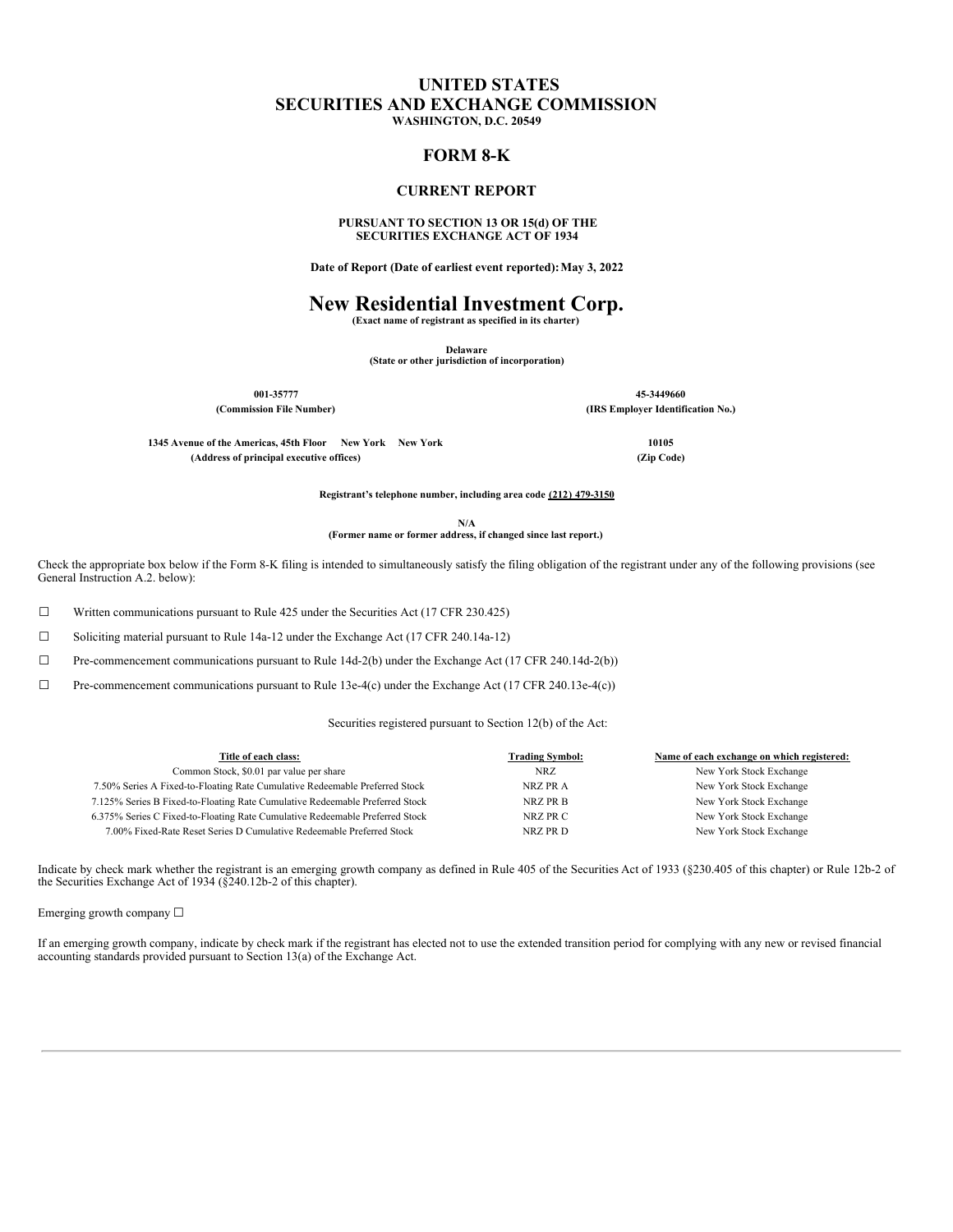# **UNITED STATES SECURITIES AND EXCHANGE COMMISSION**

**WASHINGTON, D.C. 20549**

## **FORM 8-K**

## **CURRENT REPORT**

#### **PURSUANT TO SECTION 13 OR 15(d) OF THE SECURITIES EXCHANGE ACT OF 1934**

**Date of Report (Date of earliest event reported):May 3, 2022**

## **New Residential Investment Corp.**

**(Exact name of registrant as specified in its charter)**

**Delaware**

**(State or other jurisdiction of incorporation)**

**001-35777 45-3449660**

**(Commission File Number) (IRS Employer Identification No.)**

**1345 Avenue of the Americas, 45th Floor New York New York 10105 (Address of principal executive offices) (Zip Code)**

**Registrant's telephone number, including area code (212) 479-3150**

**N/A**

**(Former name or former address, if changed since last report.)**

Check the appropriate box below if the Form 8-K filing is intended to simultaneously satisfy the filing obligation of the registrant under any of the following provisions (see General Instruction A.2. below):

 $\Box$  Written communications pursuant to Rule 425 under the Securities Act (17 CFR 230.425)

 $\Box$  Soliciting material pursuant to Rule 14a-12 under the Exchange Act (17 CFR 240.14a-12)

 $\Box$  Pre-commencement communications pursuant to Rule 14d-2(b) under the Exchange Act (17 CFR 240.14d-2(b))

☐ Pre-commencement communications pursuant to Rule 13e-4(c) under the Exchange Act (17 CFR 240.13e-4(c))

Securities registered pursuant to Section 12(b) of the Act:

| Title of each class:                                                         | <b>Trading Symbol:</b> | Name of each exchange on which registered: |
|------------------------------------------------------------------------------|------------------------|--------------------------------------------|
| Common Stock, \$0.01 par value per share                                     | <b>NRZ</b>             | New York Stock Exchange                    |
| 7.50% Series A Fixed-to-Floating Rate Cumulative Redeemable Preferred Stock  | NRZ PRA                | New York Stock Exchange                    |
| 7.125% Series B Fixed-to-Floating Rate Cumulative Redeemable Preferred Stock | NRZ PR B               | New York Stock Exchange                    |
| 6.375% Series C Fixed-to-Floating Rate Cumulative Redeemable Preferred Stock | NRZ PR C               | New York Stock Exchange                    |
| 7.00% Fixed-Rate Reset Series D Cumulative Redeemable Preferred Stock        | NRZ PR D               | New York Stock Exchange                    |

Indicate by check mark whether the registrant is an emerging growth company as defined in Rule 405 of the Securities Act of 1933 (§230.405 of this chapter) or Rule 12b-2 of the Securities Exchange Act of 1934 (§240.12b-2 of this chapter).

Emerging growth company ☐

If an emerging growth company, indicate by check mark if the registrant has elected not to use the extended transition period for complying with any new or revised financial accounting standards provided pursuant to Section 13(a) of the Exchange Act.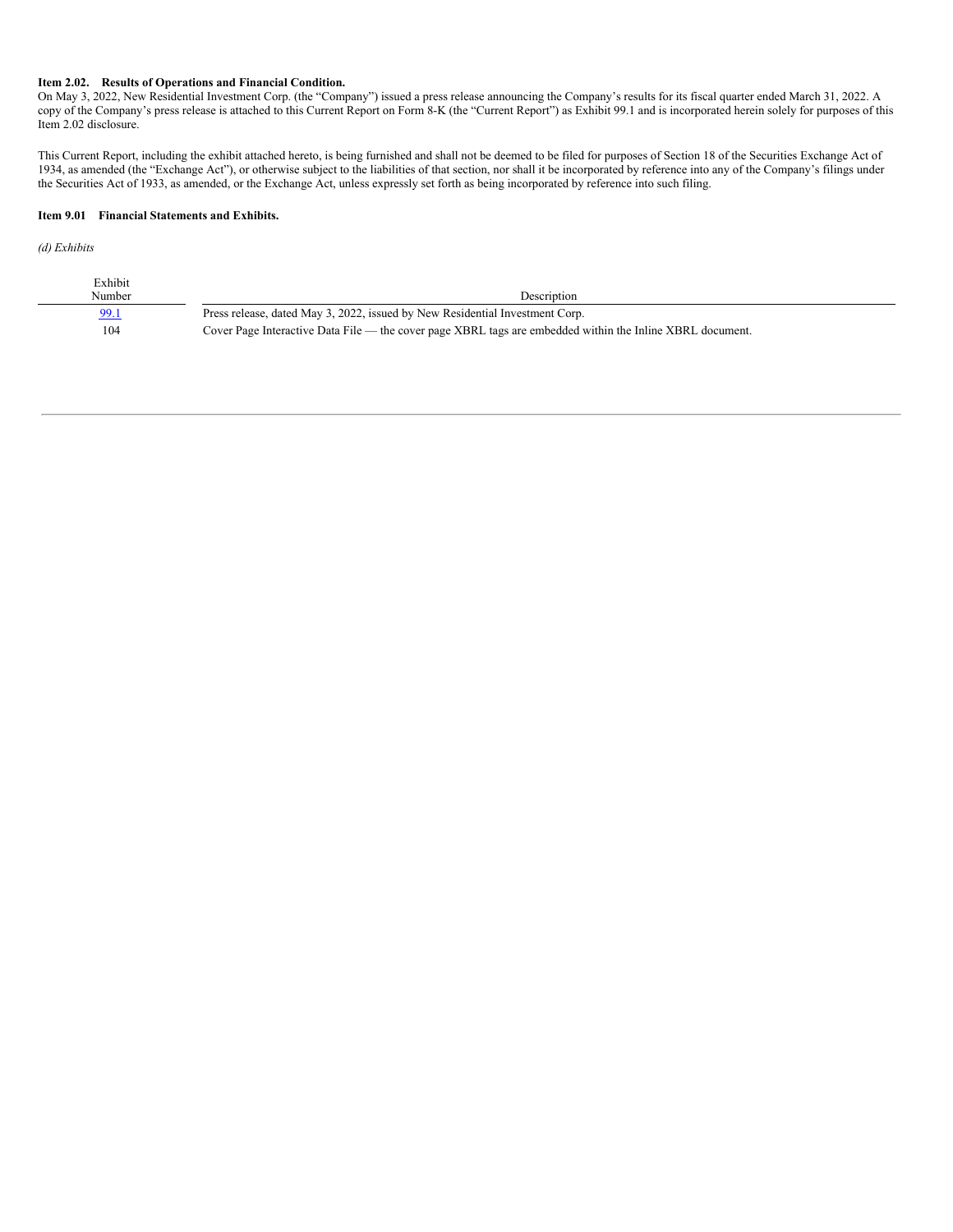#### **Item 2.02. Results of Operations and Financial Condition.**

On May 3, 2022, New Residential Investment Corp. (the "Company") issued a press release announcing the Company's results for its fiscal quarter ended March 31, 2022. A copy of the Company's press release is attached to this Current Report on Form 8-K (the "Current Report") as Exhibit 99.1 and is incorporated herein solely for purposes of this Item 2.02 disclosure.

This Current Report, including the exhibit attached hereto, is being furnished and shall not be deemed to be filed for purposes of Section 18 of the Securities Exchange Act of 1934, as amended (the "Exchange Act"), or otherwise subject to the liabilities of that section, nor shall it be incorporated by reference into any of the Company's filings under the Securities Act of 1933, as amended, or the Exchange Act, unless expressly set forth as being incorporated by reference into such filing.

### **Item 9.01 Financial Statements and Exhibits.**

*(d) Exhibits*

| Exhibit<br>Number | Description                                                                                               |
|-------------------|-----------------------------------------------------------------------------------------------------------|
| 99.1              | Press release, dated May 3, 2022, issued by New Residential Investment Corp.                              |
| 104               | Cover Page Interactive Data File — the cover page XBRL tags are embedded within the Inline XBRL document. |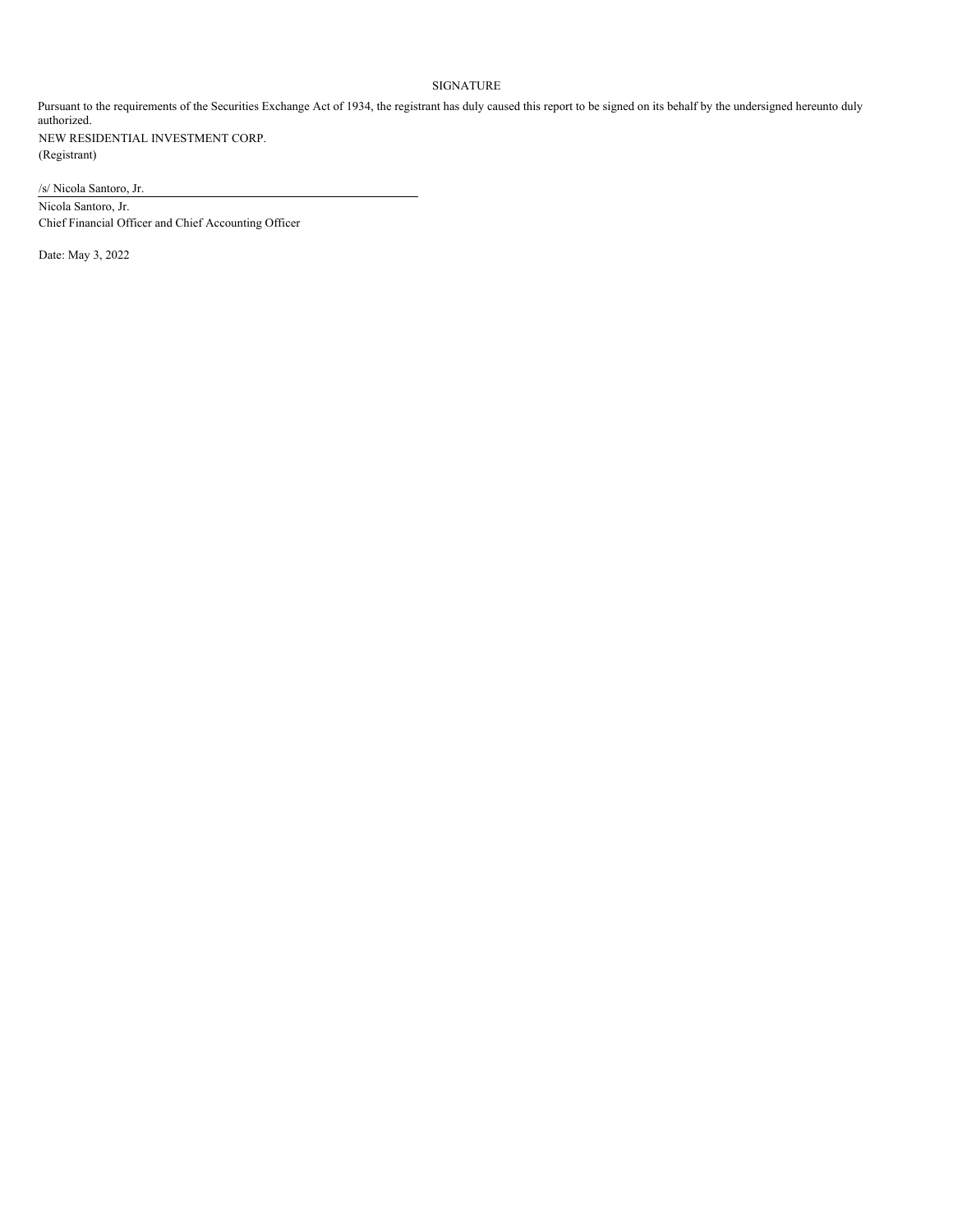## SIGNATURE

Pursuant to the requirements of the Securities Exchange Act of 1934, the registrant has duly caused this report to be signed on its behalf by the undersigned hereunto duly authorized. NEW RESIDENTIAL INVESTMENT CORP.

(Registrant)

/s/ Nicola Santoro, Jr.

Nicola Santoro, Jr. Chief Financial Officer and Chief Accounting Officer

Date: May 3, 2022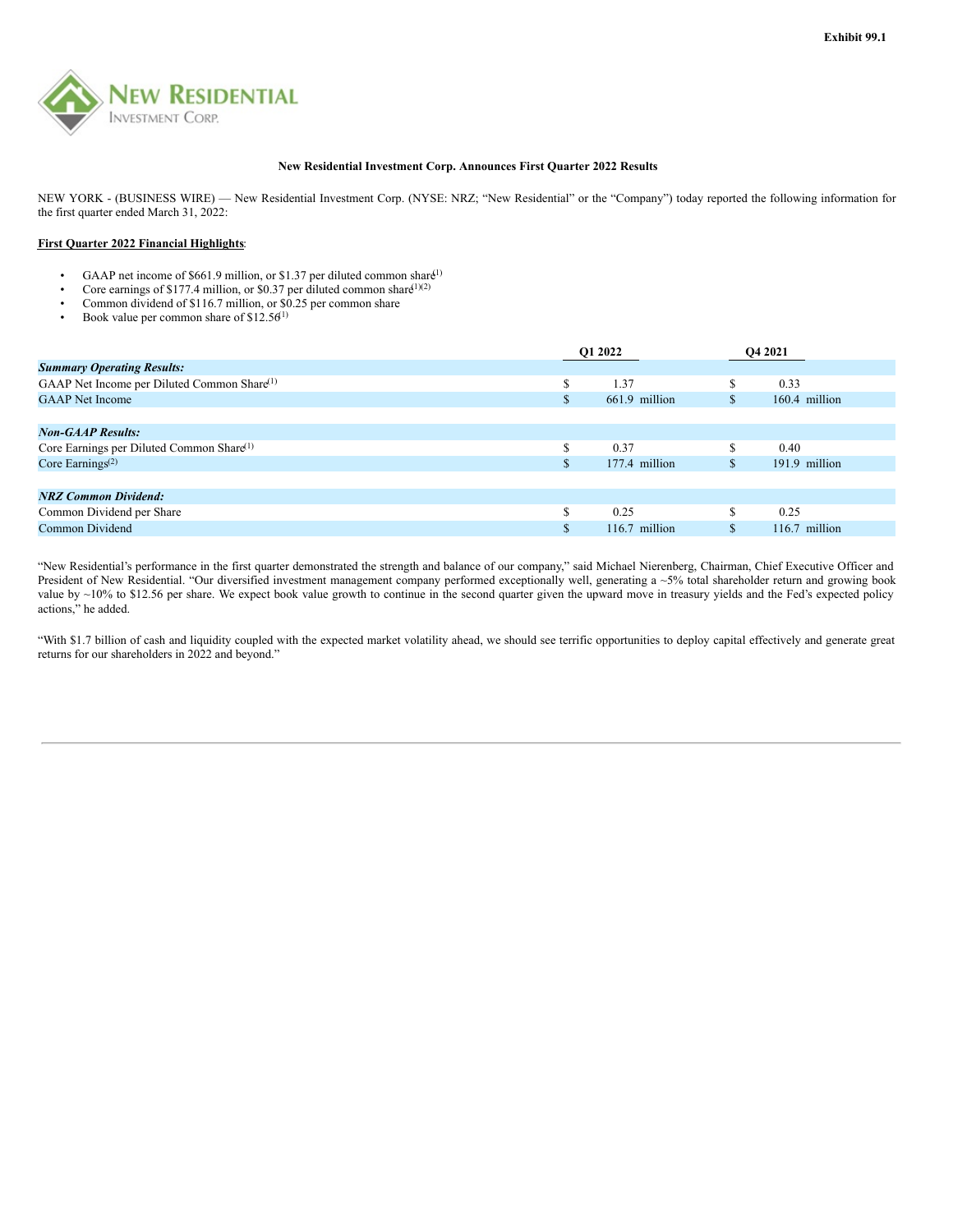

#### **New Residential Investment Corp. Announces First Quarter 2022 Results**

NEW YORK - (BUSINESS WIRE) — New Residential Investment Corp. (NYSE: NRZ; "New Residential" or the "Company") today reported the following information for the first quarter ended March 31, 2022:

#### **First Quarter 2022 Financial Highlights**:

- GAAP net income of \$661.9 million, or \$1.37 per diluted common share<sup> $(1)$ </sup>
- Core earnings of \$177.4 million, or \$0.37 per diluted common share $(1)(2)$
- Common dividend of \$116.7 million, or \$0.25 per common share
- Book value per common share of  $$12.56<sup>1</sup>$

|                                                         | Q1 2022                |               | Q4 2021         |
|---------------------------------------------------------|------------------------|---------------|-----------------|
| <b>Summary Operating Results:</b>                       |                        |               |                 |
| GAAP Net Income per Diluted Common Share <sup>(1)</sup> | \$<br>1.37             | S             | 0.33            |
| <b>GAAP</b> Net Income                                  | \$<br>661.9 million    | <sup>\$</sup> | $160.4$ million |
|                                                         |                        |               |                 |
| <b>Non-GAAP Results:</b>                                |                        |               |                 |
| Core Earnings per Diluted Common Share <sup>(1)</sup>   | \$<br>0.37             | S             | 0.40            |
| Core Earnings $(2)$                                     | \$<br>177.4 million    | <sup>\$</sup> | 191.9 million   |
|                                                         |                        |               |                 |
| <b>NRZ Common Dividend:</b>                             |                        |               |                 |
| Common Dividend per Share                               | \$<br>0.25             | S             | 0.25            |
| Common Dividend                                         | \$<br>million<br>116.7 | \$            | 116.7 million   |
|                                                         |                        |               |                 |

"New Residential's performance in the first quarter demonstrated the strength and balance of our company," said Michael Nierenberg, Chairman, Chief Executive Officer and President of New Residential. "Our diversified investment management company performed exceptionally well, generating a ~5% total shareholder return and growing book value by ~10% to \$12.56 per share. We expect book value growth to continue in the second quarter given the upward move in treasury yields and the Fed's expected policy actions," he added.

"With \$1.7 billion of cash and liquidity coupled with the expected market volatility ahead, we should see terrific opportunities to deploy capital effectively and generate great returns for our shareholders in 2022 and beyond."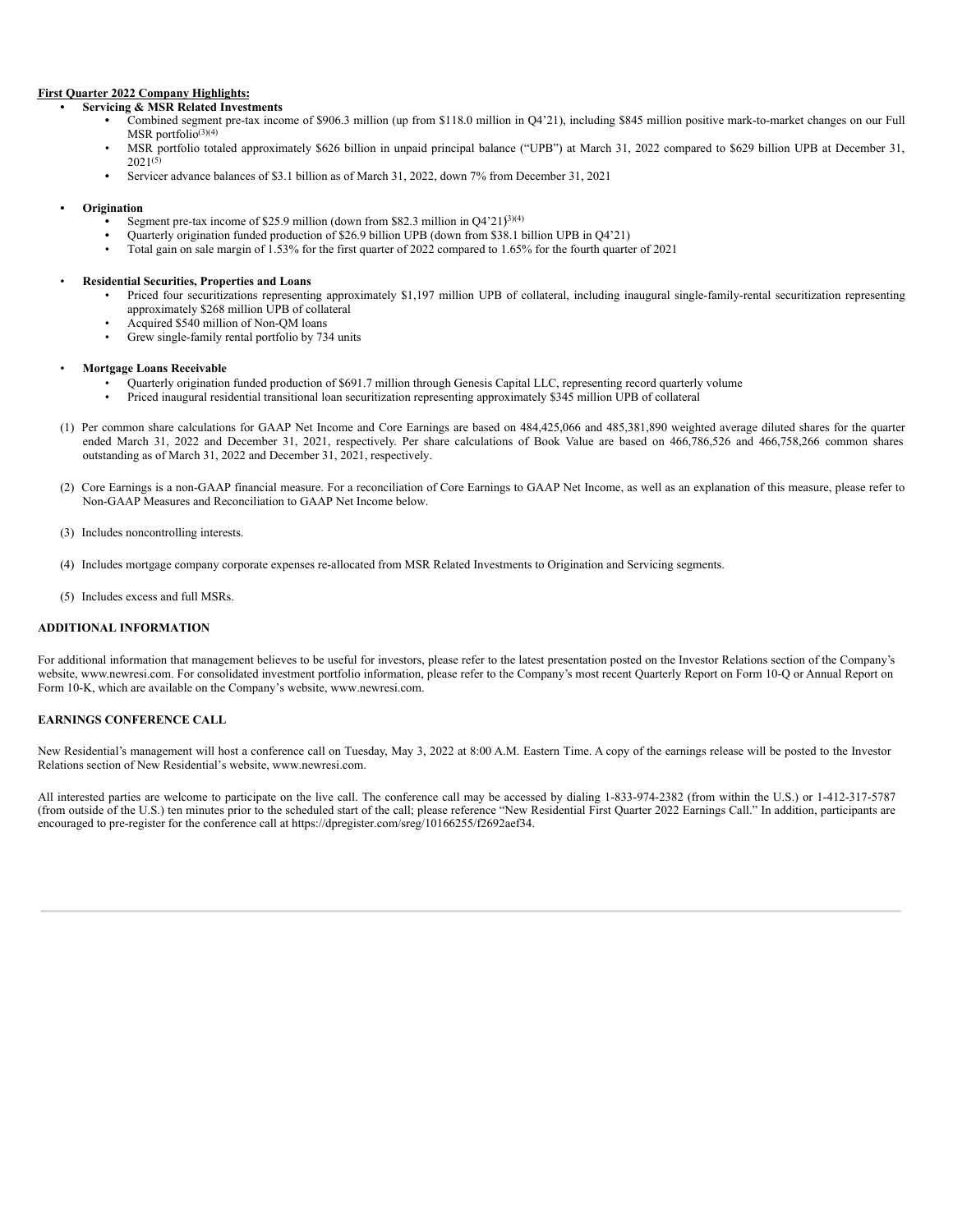## **First Quarter 2022 Company Highlights:**

- **• Servicing & MSR Related Investments**
	- **•** Combined segment pre-tax income of \$906.3 million (up from \$118.0 million in Q4'21), including \$845 million positive mark-to-market changes on our Full MSR portfolio $(3)(4)$
	- MSR portfolio totaled approximately \$626 billion in unpaid principal balance ("UPB") at March 31, 2022 compared to \$629 billion UPB at December 31,  $2021^{(5)}$
	- **•** Servicer advance balances of \$3.1 billion as of March 31, 2022, down 7% from December 31, 2021

#### **• Origination**

- Segment pre-tax income of \$25.9 million (down from \$82.3 million in  $Q4'21\frac{3}{4}$ )<sup>(4)</sup>
- **•** Quarterly origination funded production of \$26.9 billion UPB (down from \$38.1 billion UPB in Q4'21)
- Total gain on sale margin of 1.53% for the first quarter of 2022 compared to 1.65% for the fourth quarter of 2021

#### • **Residential Securities, Properties and Loans**

- Priced four securitizations representing approximately \$1,197 million UPB of collateral, including inaugural single-family-rental securitization representing approximately \$268 million UPB of collateral
- Acquired \$540 million of Non-QM loans
- Grew single-family rental portfolio by 734 units

#### • **Mortgage Loans Receivable**

- Quarterly origination funded production of \$691.7 million through Genesis Capital LLC, representing record quarterly volume
- Priced inaugural residential transitional loan securitization representing approximately \$345 million UPB of collateral
- (1) Per common share calculations for GAAP Net Income and Core Earnings are based on 484,425,066 and 485,381,890 weighted average diluted shares for the quarter ended March 31, 2022 and December 31, 2021, respectively. Per share calculations of Book Value are based on 466,786,526 and 466,758,266 common shares outstanding as of March 31, 2022 and December 31, 2021, respectively.
- (2) Core Earnings is a non-GAAP financial measure. For a reconciliation of Core Earnings to GAAP Net Income, as well as an explanation of this measure, please refer to Non-GAAP Measures and Reconciliation to GAAP Net Income below.
- (3) Includes noncontrolling interests.
- (4) Includes mortgage company corporate expenses re-allocated from MSR Related Investments to Origination and Servicing segments.
- (5) Includes excess and full MSRs.

#### **ADDITIONAL INFORMATION**

For additional information that management believes to be useful for investors, please refer to the latest presentation posted on the Investor Relations section of the Company's website, www.newresi.com. For consolidated investment portfolio information, please refer to the Company's most recent Quarterly Report on Form 10-Q or Annual Report on Form 10-K, which are available on the Company's website, www.newresi.com.

#### **EARNINGS CONFERENCE CALL**

New Residential's management will host a conference call on Tuesday, May 3, 2022 at 8:00 A.M. Eastern Time. A copy of the earnings release will be posted to the Investor Relations section of New Residential's website, www.newresi.com.

All interested parties are welcome to participate on the live call. The conference call may be accessed by dialing 1-833-974-2382 (from within the U.S.) or 1-412-317-5787 (from outside of the U.S.) ten minutes prior to the scheduled start of the call; please reference "New Residential First Quarter 2022 Earnings Call." In addition, participants are encouraged to pre-register for the conference call at https://dpregister.com/sreg/10166255/f2692aef34.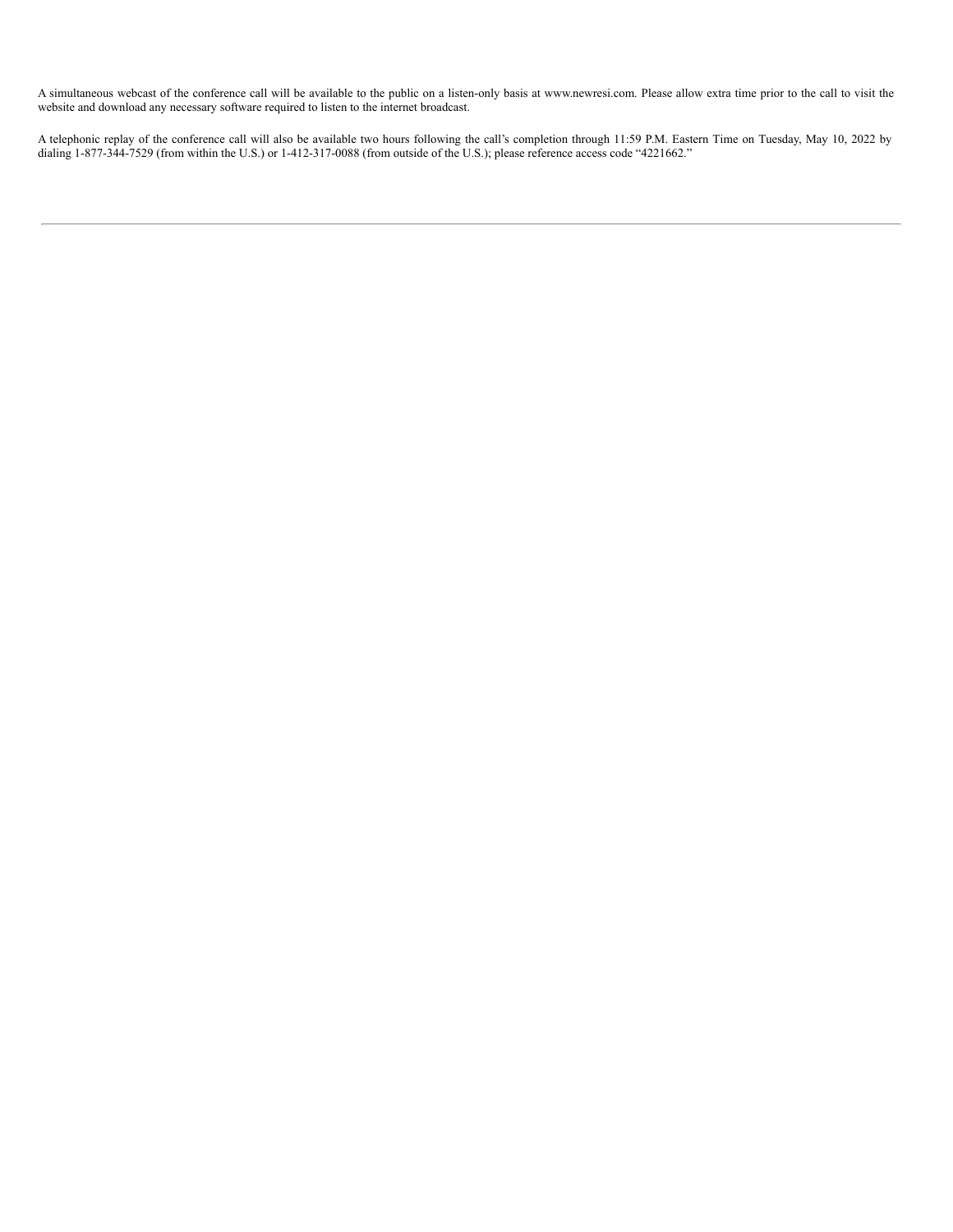A simultaneous webcast of the conference call will be available to the public on a listen-only basis at www.newresi.com. Please allow extra time prior to the call to visit the website and download any necessary software required to listen to the internet broadcast.

A telephonic replay of the conference call will also be available two hours following the call's completion through 11:59 P.M. Eastern Time on Tuesday, May 10, 2022 by dialing 1-877-344-7529 (from within the U.S.) or 1-412-317-0088 (from outside of the U.S.); please reference access code "4221662."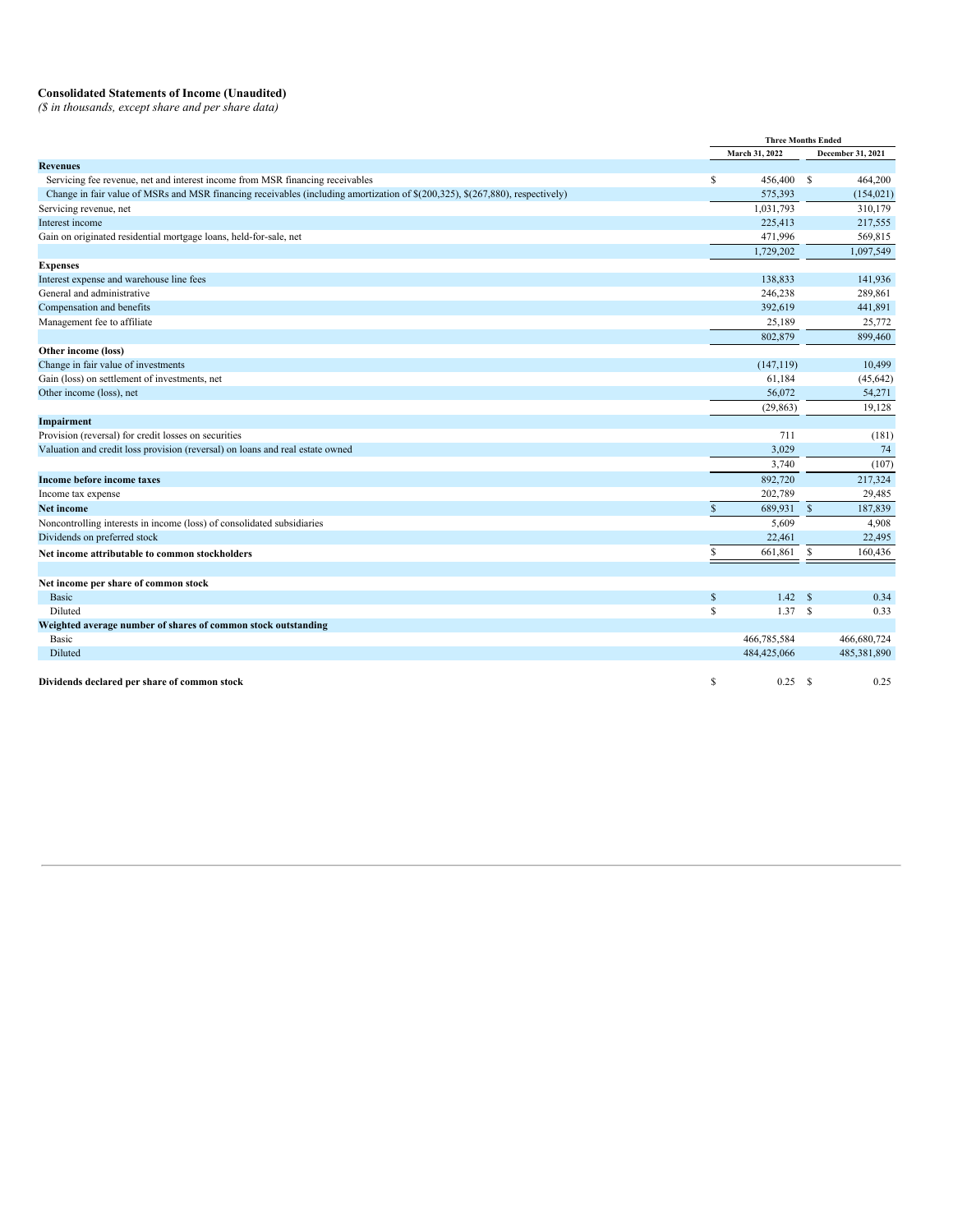## **Consolidated Statements of Income (Unaudited)**

*(\$ in thousands, except share and per share data)*

|                                                                                                                               |              | <b>Three Months Ended</b> |              |                   |
|-------------------------------------------------------------------------------------------------------------------------------|--------------|---------------------------|--------------|-------------------|
|                                                                                                                               |              | March 31, 2022            |              | December 31, 2021 |
| <b>Revenues</b>                                                                                                               |              |                           |              |                   |
| Servicing fee revenue, net and interest income from MSR financing receivables                                                 | \$           | 456,400 \$                |              | 464,200           |
| Change in fair value of MSRs and MSR financing receivables (including amortization of \$(200,325), \$(267,880), respectively) |              | 575,393                   |              | (154, 021)        |
| Servicing revenue, net                                                                                                        |              | 1,031,793                 |              | 310,179           |
| Interest income                                                                                                               |              | 225,413                   |              | 217,555           |
| Gain on originated residential mortgage loans, held-for-sale, net                                                             |              | 471,996                   |              | 569,815           |
|                                                                                                                               |              | 1,729,202                 |              | 1,097,549         |
| <b>Expenses</b>                                                                                                               |              |                           |              |                   |
| Interest expense and warehouse line fees                                                                                      |              | 138,833                   |              | 141,936           |
| General and administrative                                                                                                    |              | 246,238                   |              | 289,861           |
| Compensation and benefits                                                                                                     |              | 392,619                   |              | 441,891           |
| Management fee to affiliate                                                                                                   |              | 25,189                    |              | 25,772            |
|                                                                                                                               |              | 802,879                   |              | 899,460           |
| Other income (loss)                                                                                                           |              |                           |              |                   |
| Change in fair value of investments                                                                                           |              | (147, 119)                |              | 10,499            |
| Gain (loss) on settlement of investments, net                                                                                 |              | 61,184                    |              | (45, 642)         |
| Other income (loss), net                                                                                                      |              | 56,072                    |              | 54,271            |
|                                                                                                                               |              | (29, 863)                 |              | 19,128            |
| Impairment                                                                                                                    |              |                           |              |                   |
| Provision (reversal) for credit losses on securities                                                                          |              | 711                       |              | (181)             |
| Valuation and credit loss provision (reversal) on loans and real estate owned                                                 |              | 3,029                     |              | 74                |
|                                                                                                                               |              | 3,740                     |              | (107)             |
| Income before income taxes                                                                                                    |              | 892,720                   |              | 217,324           |
| Income tax expense                                                                                                            |              | 202,789                   |              | 29,485            |
| Net income                                                                                                                    | $\mathbf{s}$ | 689,931                   | $\mathbb{S}$ | 187,839           |
| Noncontrolling interests in income (loss) of consolidated subsidiaries                                                        |              | 5,609                     |              | 4,908             |
| Dividends on preferred stock                                                                                                  |              | 22,461                    |              | 22,495            |
| Net income attributable to common stockholders                                                                                | S            | 661,861                   | \$           | 160,436           |
|                                                                                                                               |              |                           |              |                   |
| Net income per share of common stock                                                                                          |              |                           |              |                   |
| <b>Basic</b>                                                                                                                  | \$           | 1.42                      | $\mathbb{S}$ | 0.34              |
| Diluted                                                                                                                       | \$           | 1.37                      | \$           | 0.33              |
| Weighted average number of shares of common stock outstanding                                                                 |              |                           |              |                   |
| Basic                                                                                                                         |              | 466,785,584               |              | 466,680,724       |
| Diluted                                                                                                                       |              | 484,425,066               |              | 485,381,890       |
|                                                                                                                               |              |                           |              |                   |
| Dividends declared per share of common stock                                                                                  | \$           | $0.25$ \$                 |              | 0.25              |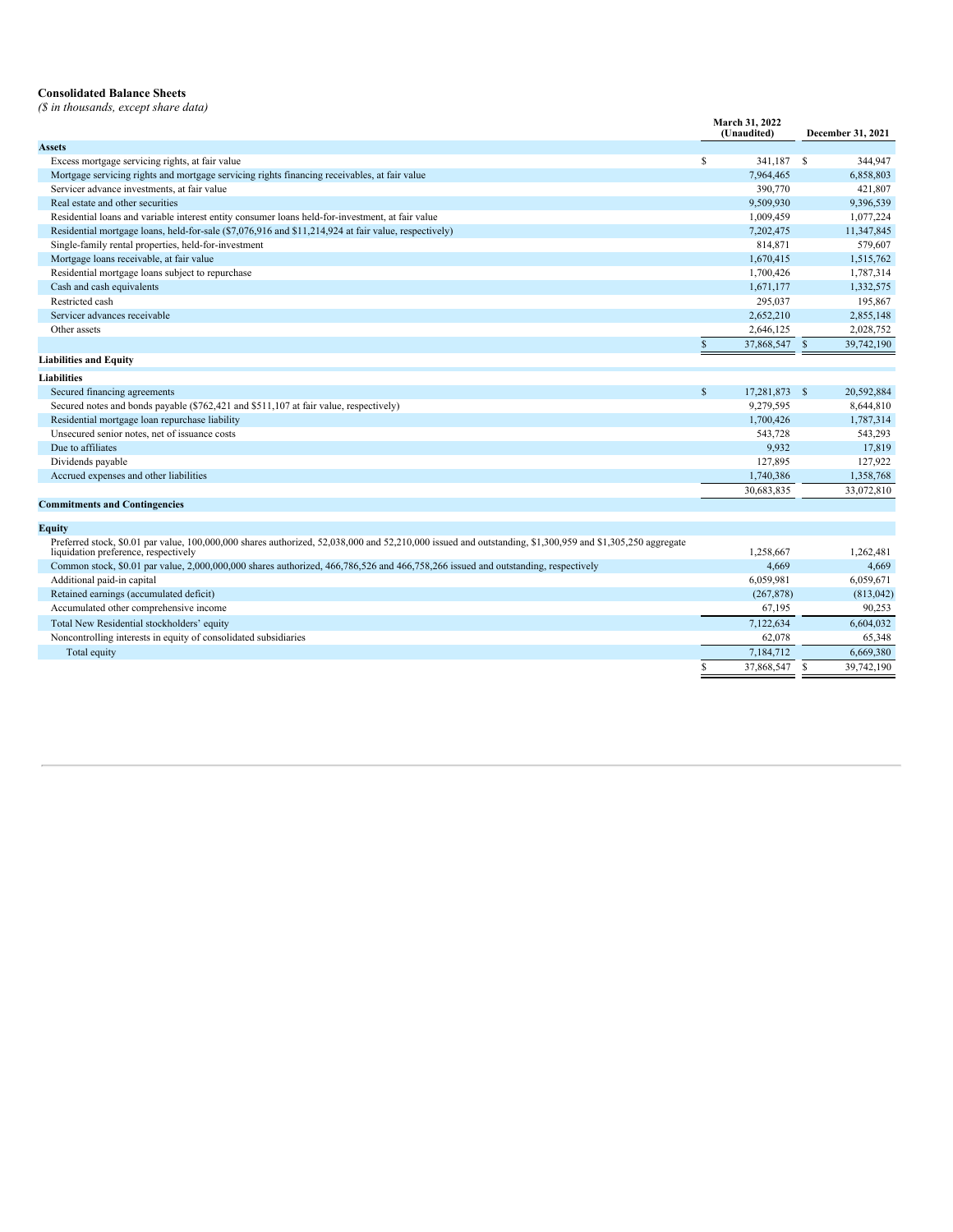#### <span id="page-7-0"></span>**Consolidated Balance Sheets**

## *(\$ in thousands, except share data)*

|                                                                                                      |              | March 31, 2022<br>(Unaudited) | December 31, 2021 |
|------------------------------------------------------------------------------------------------------|--------------|-------------------------------|-------------------|
| <b>Assets</b>                                                                                        |              |                               |                   |
| Excess mortgage servicing rights, at fair value                                                      | S            | 341,187 \$                    | 344,947           |
| Mortgage servicing rights and mortgage servicing rights financing receivables, at fair value         |              | 7,964,465                     | 6,858,803         |
| Servicer advance investments, at fair value                                                          |              | 390,770                       | 421,807           |
| Real estate and other securities                                                                     |              | 9,509,930                     | 9,396,539         |
| Residential loans and variable interest entity consumer loans held-for-investment, at fair value     |              | 1,009,459                     | 1,077,224         |
| Residential mortgage loans, held-for-sale (\$7,076,916 and \$11,214,924 at fair value, respectively) |              | 7,202,475                     | 11,347,845        |
| Single-family rental properties, held-for-investment                                                 |              | 814,871                       | 579,607           |
| Mortgage loans receivable, at fair value                                                             |              | 1,670,415                     | 1,515,762         |
| Residential mortgage loans subject to repurchase                                                     |              | 1,700,426                     | 1,787,314         |
| Cash and cash equivalents                                                                            |              | 1,671,177                     | 1,332,575         |
| Restricted cash                                                                                      |              | 295,037                       | 195,867           |
| Servicer advances receivable                                                                         |              | 2,652,210                     | 2,855,148         |
| Other assets                                                                                         |              | 2,646,125                     | 2,028,752         |
|                                                                                                      |              | 37,868,547 \$                 | 39,742,190        |
| <b>Liabilities and Equity</b>                                                                        |              |                               |                   |
| <b>Liabilities</b>                                                                                   |              |                               |                   |
| Secured financing agreements                                                                         | $\mathbb{S}$ | 17.281.873 \$                 | 20,592,884        |
| Secured notes and bonds payable (\$762,421 and \$511,107 at fair value, respectively)                |              | 9,279,595                     | 8,644,810         |
| Residential mortgage loan repurchase liability                                                       |              | 1.700.426                     | 1,787,314         |
| Unsecured senior notes, net of issuance costs                                                        |              | 543,728                       | 543,293           |
| Due to affiliates                                                                                    |              | 9,932                         | 17,819            |
| Dividends payable                                                                                    |              | 127,895                       | 127,922           |
| Accrued expenses and other liabilities                                                               |              | 1,740,386                     | 1,358,768         |
|                                                                                                      |              | 30,683,835                    | 33,072,810        |
| <b>Commitments and Contingencies</b>                                                                 |              |                               |                   |
|                                                                                                      |              |                               |                   |

**Equity** Preferred stock, \$0.01 par value, 100,000,000 shares authorized, 52,038,000 and 52,210,000 issued and outstanding, \$1,300,959 and \$1,305,250 aggregate 1,258,667 1,258,667 1,262,481 Common stock, \$0.01 par value, 2,000,000,000 shares authorized, 466,786,526 and 466,758,266 issued and outstanding, respectively 4,669 4,669 4,669 4,669 4,669 4,669 4,669 4,669 4,669 4,669 4,669 4,669 4,669 4,669 4,669 4,6 Additional paid-in capital 6,059,981 6,059,981 6,059,981 6,059,981 6,059,981 6,059,981 6,059,071 6,059,071 6,059,071 6,059,071 6,059,071 6,059,071 6,059,071 6,059,071 6,059,071 6,059,071 6,059,071 6,059,071 6,059,071 6,059 Retained earnings (accumulated deficit) (267,878) (813,042)<br>
Accumulated other comprehensive income (67,195 (87,195 (90,253 ) Accumulated other comprehensive income Total New Residential stockholders' equity equity and the stockholders' equity and the stockholders' equity and the stockholders' equity and the stockholders' equity  $7,122,634$  6,604,032 Noncontrolling interests in equity of consolidated subsidiaries 65,348 65,348 65,348 65,348 65,348 65,348 65,348 65,348 65,348 65,348 65,348 65,348 65,348 65,348 65,348 65,348 65,348 65,348 65,348 65,348 65,348 65,348 65,3 Total equity 7,184,712 6,669,380 \$ 37,868,547 \$ 39,742,190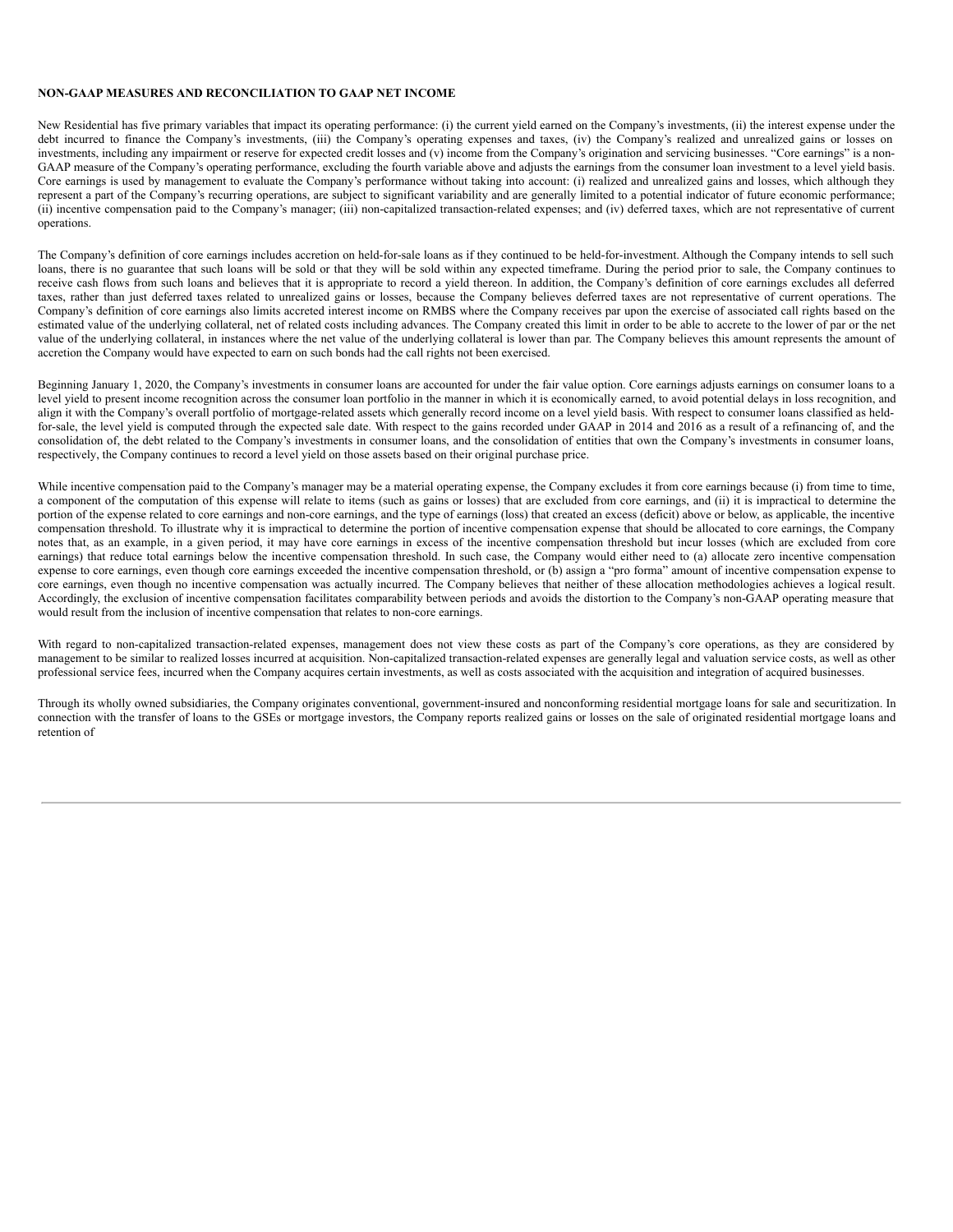#### **NON-GAAP MEASURES AND RECONCILIATION TO GAAP NET INCOME**

New Residential has five primary variables that impact its operating performance: (i) the current yield earned on the Company's investments, (ii) the interest expense under the debt incurred to finance the Company's investments, (iii) the Company's operating expenses and taxes, (iv) the Company's realized and unrealized gains or losses on investments, including any impairment or reserve for expected credit losses and (v) income from the Company's origination and servicing businesses. "Core earnings" is a non-GAAP measure of the Company's operating performance, excluding the fourth variable above and adjusts the earnings from the consumer loan investment to a level yield basis. Core earnings is used by management to evaluate the Company's performance without taking into account: (i) realized and unrealized gains and losses, which although they represent a part of the Company's recurring operations, are subject to significant variability and are generally limited to a potential indicator of future economic performance; (ii) incentive compensation paid to the Company's manager; (iii) non-capitalized transaction-related expenses; and (iv) deferred taxes, which are not representative of current operations.

The Company's definition of core earnings includes accretion on held-for-sale loans as if they continued to be held-for-investment. Although the Company intends to sell such loans, there is no guarantee that such loans will be sold or that they will be sold within any expected timeframe. During the period prior to sale, the Company continues to receive cash flows from such loans and believes that it is appropriate to record a yield thereon. In addition, the Company's definition of core earnings excludes all deferred taxes, rather than just deferred taxes related to unrealized gains or losses, because the Company believes deferred taxes are not representative of current operations. The Company's definition of core earnings also limits accreted interest income on RMBS where the Company receives par upon the exercise of associated call rights based on the estimated value of the underlying collateral, net of related costs including advances. The Company created this limit in order to be able to accrete to the lower of par or the net value of the underlying collateral, in instances where the net value of the underlying collateral is lower than par. The Company believes this amount represents the amount of accretion the Company would have expected to earn on such bonds had the call rights not been exercised.

Beginning January 1, 2020, the Company's investments in consumer loans are accounted for under the fair value option. Core earnings adjusts earnings on consumer loans to a level yield to present income recognition across the consumer loan portfolio in the manner in which it is economically earned, to avoid potential delays in loss recognition, and align it with the Company's overall portfolio of mortgage-related assets which generally record income on a level yield basis. With respect to consumer loans classified as heldfor-sale, the level yield is computed through the expected sale date. With respect to the gains recorded under GAAP in 2014 and 2016 as a result of a refinancing of, and the consolidation of, the debt related to the Company's investments in consumer loans, and the consolidation of entities that own the Company's investments in consumer loans, respectively, the Company continues to record a level yield on those assets based on their original purchase price.

While incentive compensation paid to the Company's manager may be a material operating expense, the Company excludes it from core earnings because (i) from time to time, a component of the computation of this expense will relate to items (such as gains or losses) that are excluded from core earnings, and (ii) it is impractical to determine the portion of the expense related to core earnings and non-core earnings, and the type of earnings (loss) that created an excess (deficit) above or below, as applicable, the incentive compensation threshold. To illustrate why it is impractical to determine the portion of incentive compensation expense that should be allocated to core earnings, the Company notes that, as an example, in a given period, it may have core earnings in excess of the incentive compensation threshold but incur losses (which are excluded from core earnings) that reduce total earnings below the incentive compensation threshold. In such case, the Company would either need to (a) allocate zero incentive compensation expense to core earnings, even though core earnings exceeded the incentive compensation threshold, or (b) assign a "pro forma" amount of incentive compensation expense to core earnings, even though no incentive compensation was actually incurred. The Company believes that neither of these allocation methodologies achieves a logical result. Accordingly, the exclusion of incentive compensation facilitates comparability between periods and avoids the distortion to the Company's non-GAAP operating measure that would result from the inclusion of incentive compensation that relates to non-core earnings.

With regard to non-capitalized transaction-related expenses, management does not view these costs as part of the Company's core operations, as they are considered by management to be similar to realized losses incurred at acquisition. Non-capitalized transaction-related expenses are generally legal and valuation service costs, as well as other professional service fees, incurred when the Company acquires certain investments, as well as costs associated with the acquisition and integration of acquired businesses.

Through its wholly owned subsidiaries, the Company originates conventional, government-insured and nonconforming residential mortgage loans for sale and securitization. In connection with the transfer of loans to the GSEs or mortgage investors, the Company reports realized gains or losses on the sale of originated residential mortgage loans and retention of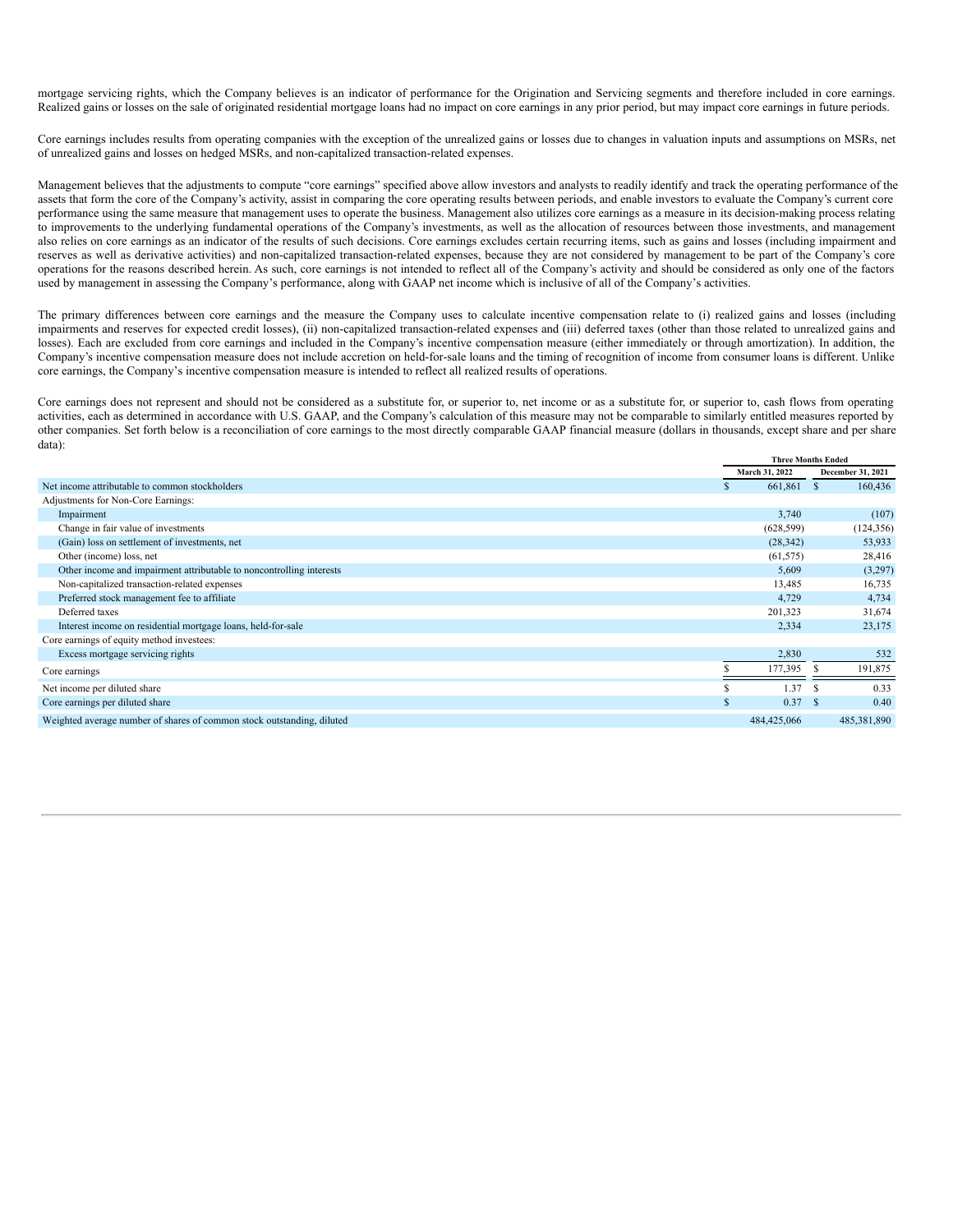mortgage servicing rights, which the Company believes is an indicator of performance for the Origination and Servicing segments and therefore included in core earnings. Realized gains or losses on the sale of originated residential mortgage loans had no impact on core earnings in any prior period, but may impact core earnings in future periods.

Core earnings includes results from operating companies with the exception of the unrealized gains or losses due to changes in valuation inputs and assumptions on MSRs, net of unrealized gains and losses on hedged MSRs, and non-capitalized transaction-related expenses.

Management believes that the adjustments to compute "core earnings" specified above allow investors and analysts to readily identify and track the operating performance of the assets that form the core of the Company's activity, assist in comparing the core operating results between periods, and enable investors to evaluate the Company's current core performance using the same measure that management uses to operate the business. Management also utilizes core earnings as a measure in its decision-making process relating to improvements to the underlying fundamental operations of the Company's investments, as well as the allocation of resources between those investments, and management also relies on core earnings as an indicator of the results of such decisions. Core earnings excludes certain recurring items, such as gains and losses (including impairment and reserves as well as derivative activities) and non-capitalized transaction-related expenses, because they are not considered by management to be part of the Company's core operations for the reasons described herein. As such, core earnings is not intended to reflect all of the Company's activity and should be considered as only one of the factors used by management in assessing the Company's performance, along with GAAP net income which is inclusive of all of the Company's activities.

The primary differences between core earnings and the measure the Company uses to calculate incentive compensation relate to (i) realized gains and losses (including impairments and reserves for expected credit losses), (ii) non-capitalized transaction-related expenses and (iii) deferred taxes (other than those related to unrealized gains and losses). Each are excluded from core earnings and included in the Company's incentive compensation measure (either immediately or through amortization). In addition, the Company's incentive compensation measure does not include accretion on held-for-sale loans and the timing of recognition of income from consumer loans is different. Unlike core earnings, the Company's incentive compensation measure is intended to reflect all realized results of operations.

Core earnings does not represent and should not be considered as a substitute for, or superior to, net income or as a substitute for, or superior to, cash flows from operating activities, each as determined in accordance with U.S. GAAP, and the Company's calculation of this measure may not be comparable to similarly entitled measures reported by other companies. Set forth below is a reconciliation of core earnings to the most directly comparable GAAP financial measure (dollars in thousands, except share and per share data):

|                                                                        |   | <b>Three Months Ended</b> |               |                   |  |  |
|------------------------------------------------------------------------|---|---------------------------|---------------|-------------------|--|--|
|                                                                        |   | March 31, 2022            |               | December 31, 2021 |  |  |
| Net income attributable to common stockholders                         | S | 661,861                   | -S            | 160,436           |  |  |
| Adjustments for Non-Core Earnings:                                     |   |                           |               |                   |  |  |
| Impairment                                                             |   | 3,740                     |               | (107)             |  |  |
| Change in fair value of investments                                    |   | (628, 599)                |               | (124, 356)        |  |  |
| (Gain) loss on settlement of investments, net                          |   | (28, 342)                 |               | 53,933            |  |  |
| Other (income) loss, net                                               |   | (61, 575)                 |               | 28,416            |  |  |
| Other income and impairment attributable to noncontrolling interests   |   | 5,609                     |               | (3,297)           |  |  |
| Non-capitalized transaction-related expenses                           |   | 13,485                    |               | 16,735            |  |  |
| Preferred stock management fee to affiliate                            |   | 4,729                     |               | 4,734             |  |  |
| Deferred taxes                                                         |   | 201,323                   |               | 31,674            |  |  |
| Interest income on residential mortgage loans, held-for-sale           |   | 2,334                     |               | 23,175            |  |  |
| Core earnings of equity method investees:                              |   |                           |               |                   |  |  |
| Excess mortgage servicing rights                                       |   | 2,830                     |               | 532               |  |  |
| Core earnings                                                          |   | 177,395                   | -8            | 191,875           |  |  |
| Net income per diluted share                                           |   | 1.37                      | $\mathcal{S}$ | 0.33              |  |  |
| Core earnings per diluted share                                        |   | 0.37                      | - \$          | 0.40              |  |  |
| Weighted average number of shares of common stock outstanding, diluted |   | 484,425,066               |               | 485,381,890       |  |  |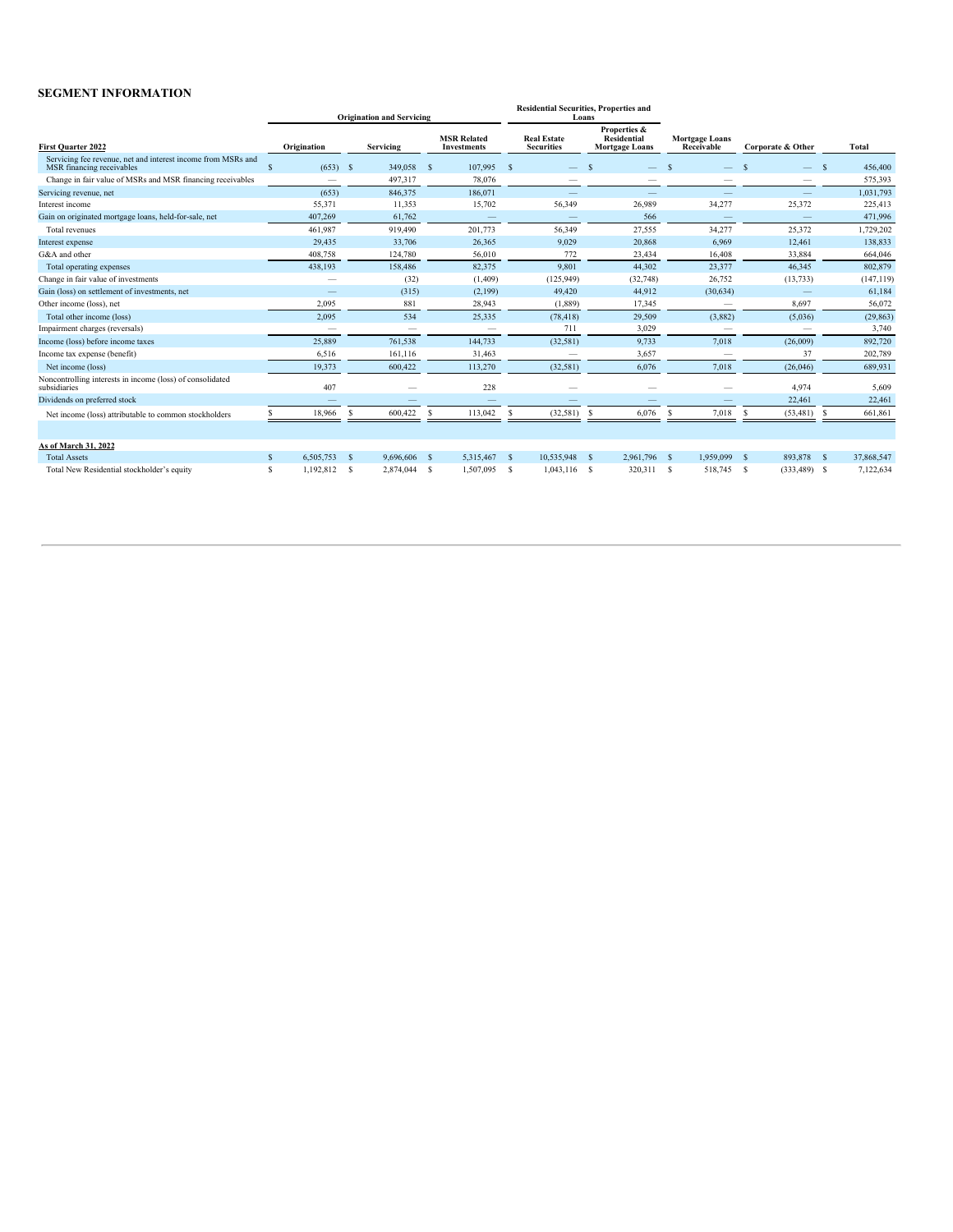## **SEGMENT INFORMATION**

|                                                                                           | <b>Origination and Servicing</b> |         |                          |    |                                          | <b>Residential Securities, Properties and</b><br>Loans |                                         |        |                                                             |     |                                     |              |                   |              |              |
|-------------------------------------------------------------------------------------------|----------------------------------|---------|--------------------------|----|------------------------------------------|--------------------------------------------------------|-----------------------------------------|--------|-------------------------------------------------------------|-----|-------------------------------------|--------------|-------------------|--------------|--------------|
| <b>First Quarter 2022</b>                                                                 | Origination                      |         | Servicing                |    | <b>MSR Related</b><br><b>Investments</b> |                                                        | <b>Real Estate</b><br><b>Securities</b> |        | Properties &<br><b>Residential</b><br><b>Mortgage Loans</b> |     | <b>Mortgage Loans</b><br>Receivable |              | Corporate & Other |              | <b>Total</b> |
| Servicing fee revenue, net and interest income from MSRs and<br>MSR financing receivables | $(653)$ \$<br>\$.                |         | 349,058                  | -S | 107,995                                  | <sup>S</sup>                                           | $\sim$                                  | -S     |                                                             | S   |                                     |              | $\qquad \qquad -$ | $\mathbf{s}$ | 456,400      |
| Change in fair value of MSRs and MSR financing receivables                                | $\overline{\phantom{a}}$         |         | 497.317                  |    | 78,076                                   |                                                        |                                         |        |                                                             |     |                                     |              |                   |              | 575,393      |
| Servicing revenue, net                                                                    | (653)                            |         | 846,375                  |    | 186,071                                  |                                                        |                                         |        |                                                             |     |                                     |              |                   |              | 1,031,793    |
| Interest income                                                                           | 55,371                           |         | 11,353                   |    | 15,702                                   |                                                        | 56,349                                  |        | 26,989                                                      |     | 34,277                              |              | 25,372            |              | 225,413      |
| Gain on originated mortgage loans, held-for-sale, net                                     | 407.269                          |         | 61,762                   |    | $\qquad \qquad -$                        |                                                        | $\qquad \qquad$                         |        | 566                                                         |     | $\sim$                              |              |                   |              | 471.996      |
| Total revenues                                                                            | 461.987                          |         | 919,490                  |    | 201.773                                  |                                                        | 56,349                                  |        | 27,555                                                      |     | 34,277                              |              | 25,372            |              | 1,729,202    |
| Interest expense                                                                          | 29,435                           |         | 33,706                   |    | 26,365                                   |                                                        | 9.029                                   |        | 20.868                                                      |     | 6.969                               |              | 12,461            |              | 138,833      |
| G&A and other                                                                             | 408,758                          |         | 124,780                  |    | 56,010                                   |                                                        | 772                                     |        | 23,434                                                      |     | 16,408                              |              | 33,884            |              | 664,046      |
| Total operating expenses                                                                  | 438,193                          |         | 158,486                  |    | 82,375                                   |                                                        | 9.801                                   |        | 44,302                                                      |     | 23,377                              |              | 46,345            |              | 802,879      |
| Change in fair value of investments                                                       |                                  |         | (32)                     |    | (1, 409)                                 |                                                        | (125, 949)                              |        | (32, 748)                                                   |     | 26,752                              |              | (13, 733)         |              | (147, 119)   |
| Gain (loss) on settlement of investments, net                                             |                                  |         | (315)                    |    | (2,199)                                  |                                                        | 49,420                                  |        | 44.912                                                      |     | (30, 634)                           |              |                   |              | 61,184       |
| Other income (loss), net                                                                  | 2,095                            |         | 881                      |    | 28,943                                   |                                                        | (1,889)                                 |        | 17,345                                                      |     |                                     |              | 8,697             |              | 56,072       |
| Total other income (loss)                                                                 | 2,095                            |         | 534                      |    | 25,335                                   |                                                        | (78, 418)                               |        | 29,509                                                      |     | (3,882)                             |              | (5,036)           |              | (29, 863)    |
| Impairment charges (reversals)                                                            |                                  |         | $\overline{\phantom{m}}$ |    | -                                        |                                                        | 711                                     |        | 3,029                                                       |     |                                     |              |                   |              | 3,740        |
| Income (loss) before income taxes                                                         | 25,889                           |         | 761.538                  |    | 144,733                                  |                                                        | (32, 581)                               |        | 9.733                                                       |     | 7.018                               |              | (26,009)          |              | 892,720      |
| Income tax expense (benefit)                                                              | 6,516                            |         | 161,116                  |    | 31,463                                   |                                                        |                                         |        | 3,657                                                       |     | -                                   |              | 37                |              | 202,789      |
| Net income (loss)                                                                         | 19,373                           |         | 600.422                  |    | 113,270                                  |                                                        | (32, 581)                               |        | 6.076                                                       |     | 7,018                               |              | (26,046)          |              | 689.931      |
| Noncontrolling interests in income (loss) of consolidated<br>subsidiaries                 | 407                              |         |                          |    | 228                                      |                                                        |                                         |        |                                                             |     |                                     |              | 4,974             |              | 5,609        |
| Dividends on preferred stock                                                              |                                  |         | $\overline{\phantom{a}}$ |    | $\qquad \qquad$                          |                                                        |                                         |        |                                                             |     |                                     |              | 22.461            |              | 22.461       |
| Net income (loss) attributable to common stockholders                                     | 18,966                           |         | 600,422                  |    | 113,042                                  |                                                        | (32, 581)                               |        | 6,076                                                       | S   | 7,018                               |              | (53, 481)         | -S           | 661,861      |
|                                                                                           |                                  |         |                          |    |                                          |                                                        |                                         |        |                                                             |     |                                     |              |                   |              |              |
| As of March 31, 2022<br><b>Total Assets</b>                                               | $\mathbf{s}$<br>6.505.753        |         | 9,696,606                | -8 | 5,315,467                                |                                                        | 10.535.948                              | $\sim$ | 2.961,796 S                                                 |     | 1.959.099                           | $\mathbf{s}$ | 893,878           |              | 37,868,547   |
| Total New Residential stockholder's equity                                                | S<br>1,192,812                   | -S<br>S | 2,874,044                | -S | 1,507,095                                | <sup>S</sup><br>-S                                     | $1.043.116$ S                           |        | 320,311                                                     | - S | 518,745                             | - S          | $(333,489)$ \$    | - S          | 7,122,634    |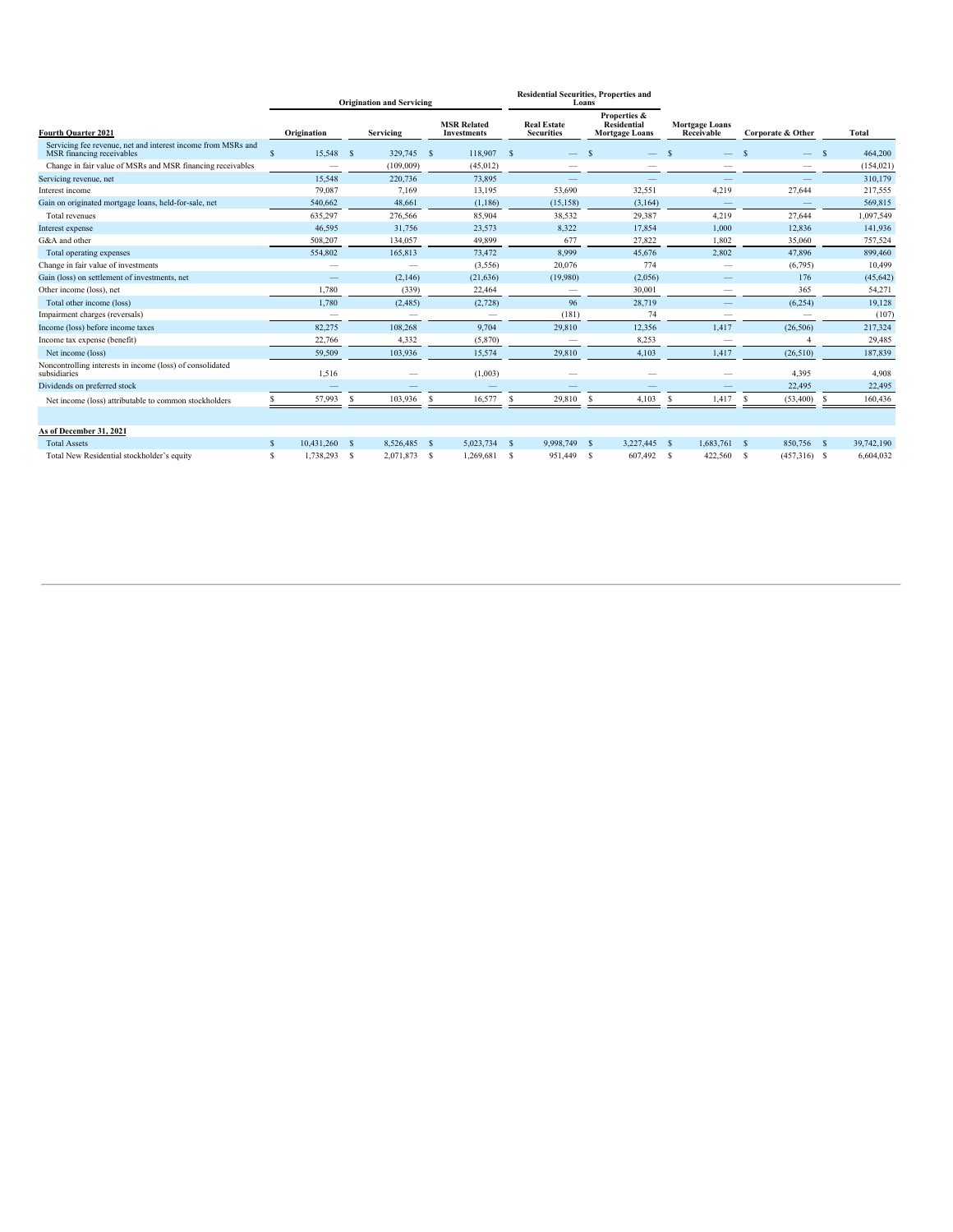|                                                                                           | <b>Origination and Servicing</b> |               |                  |    |                                          | <b>Residential Securities, Properties and</b><br>Loans |                                         |                    |                                                             |              |                                     |    |                          |              |              |
|-------------------------------------------------------------------------------------------|----------------------------------|---------------|------------------|----|------------------------------------------|--------------------------------------------------------|-----------------------------------------|--------------------|-------------------------------------------------------------|--------------|-------------------------------------|----|--------------------------|--------------|--------------|
| <b>Fourth Ouarter 2021</b>                                                                | Origination                      |               | <b>Servicing</b> |    | <b>MSR Related</b><br><b>Investments</b> |                                                        | <b>Real Estate</b><br><b>Securities</b> |                    | Properties &<br><b>Residential</b><br><b>Mortgage Loans</b> |              | <b>Mortgage Loans</b><br>Receivable |    | Corporate & Other        |              | <b>Total</b> |
| Servicing fee revenue, net and interest income from MSRs and<br>MSR financing receivables | 15.548 \$<br>S                   |               | 329,745 \$       |    | 118,907                                  | <sup>S</sup>                                           |                                         | $\mathbf{\hat{S}}$ |                                                             | $\mathbf{S}$ |                                     | ୍ବ |                          | $\mathbf{s}$ | 464.200      |
| Change in fair value of MSRs and MSR financing receivables                                | $\overline{\phantom{a}}$         |               | (109,009)        |    | (45, 012)                                |                                                        | -                                       |                    | -                                                           |              |                                     |    | -                        |              | (154, 021)   |
| Servicing revenue, net                                                                    | 15,548                           |               | 220,736          |    | 73,895                                   |                                                        |                                         |                    |                                                             |              |                                     |    |                          |              | 310,179      |
| Interest income                                                                           | 79,087                           |               | 7,169            |    | 13,195                                   |                                                        | 53,690                                  |                    | 32,551                                                      |              | 4,219                               |    | 27,644                   |              | 217,555      |
| Gain on originated mortgage loans, held-for-sale, net                                     | 540,662                          |               | 48,661           |    | (1, 186)                                 |                                                        | (15, 158)                               |                    | (3, 164)                                                    |              | $\qquad \qquad$                     |    |                          |              | 569,815      |
| Total revenues                                                                            | 635,297                          |               | 276,566          |    | 85.904                                   |                                                        | 38.532                                  |                    | 29,387                                                      |              | 4.219                               |    | 27.644                   |              | 1,097,549    |
| Interest expense                                                                          | 46,595                           |               | 31,756           |    | 23,573                                   |                                                        | 8,322                                   |                    | 17,854                                                      |              | 1,000                               |    | 12,836                   |              | 141,936      |
| G&A and other                                                                             | 508,207                          |               | 134,057          |    | 49,899                                   |                                                        | 677                                     |                    | 27,822                                                      |              | 1,802                               |    | 35,060                   |              | 757,524      |
| Total operating expenses                                                                  | 554.802                          |               | 165,813          |    | 73.472                                   |                                                        | 8.999                                   |                    | 45,676                                                      |              | 2.802                               |    | 47,896                   |              | 899,460      |
| Change in fair value of investments                                                       |                                  |               |                  |    | (3,556)                                  |                                                        | 20,076                                  |                    | 774                                                         |              | -                                   |    | (6,795)                  |              | 10,499       |
| Gain (loss) on settlement of investments, net                                             | $-$                              |               | (2,146)          |    | (21, 636)                                |                                                        | (19,980)                                |                    | (2,056)                                                     |              |                                     |    | 176                      |              | (45, 642)    |
| Other income (loss), net                                                                  | 1,780                            |               | (339)            |    | 22,464                                   |                                                        | -                                       |                    | 30,001                                                      |              | -                                   |    | 365                      |              | 54,271       |
| Total other income (loss)                                                                 | 1.780                            |               | (2,485)          |    | (2,728)                                  |                                                        | 96                                      |                    | 28,719                                                      |              |                                     |    | (6, 254)                 |              | 19.128       |
| Impairment charges (reversals)                                                            | $\overline{\phantom{a}}$         |               |                  |    | $\overline{\phantom{0}}$                 |                                                        | (181)                                   |                    | 74                                                          |              |                                     |    | $\overline{\phantom{0}}$ |              | (107)        |
| Income (loss) before income taxes                                                         | 82,275                           |               | 108.268          |    | 9.704                                    |                                                        | 29.810                                  |                    | 12,356                                                      |              | 1,417                               |    | (26, 506)                |              | 217,324      |
| Income tax expense (benefit)                                                              | 22,766                           |               | 4,332            |    | (5,870)                                  |                                                        | $\overline{\phantom{0}}$                |                    | 8,253                                                       |              | -                                   |    |                          |              | 29,485       |
| Net income (loss)                                                                         | 59,509                           |               | 103,936          |    | 15,574                                   |                                                        | 29,810                                  |                    | 4,103                                                       |              | 1,417                               |    | (26, 510)                |              | 187,839      |
| Noncontrolling interests in income (loss) of consolidated<br>subsidiaries                 | 1,516                            |               |                  |    | (1,003)                                  |                                                        |                                         |                    |                                                             |              |                                     |    | 4,395                    |              | 4.908        |
| Dividends on preferred stock                                                              |                                  |               |                  |    |                                          |                                                        |                                         |                    |                                                             |              |                                     |    | 22,495                   |              | 22,495       |
| Net income (loss) attributable to common stockholders                                     | 57,993                           |               | 103,936          |    | 16,577                                   |                                                        | 29,810                                  |                    | 4,103                                                       |              | 1,417                               |    | (53, 400)                |              | 160,436      |
| As of December 31, 2021                                                                   |                                  |               |                  |    |                                          |                                                        |                                         |                    |                                                             |              |                                     |    |                          |              |              |
| <b>Total Assets</b>                                                                       | 10.431.260<br>\$.                | $\mathcal{S}$ | 8.526.485        | -S | 5.023.734                                | <b>S</b>                                               | 9.998,749                               | $\mathbf{s}$       | 3.227.445                                                   | $\mathbf{s}$ | $1.683,761$ S                       |    | 850,756                  | $\mathbf{s}$ | 39,742,190   |
| Total New Residential stockholder's equity                                                | S<br>1,738,293                   | -S            | 2,071,873        | -S | 1.269.681                                | s                                                      | 951.449                                 | -S                 | 607,492                                                     | s            | 422,560                             | -S | $(457,316)$ \$           |              | 6,604,032    |